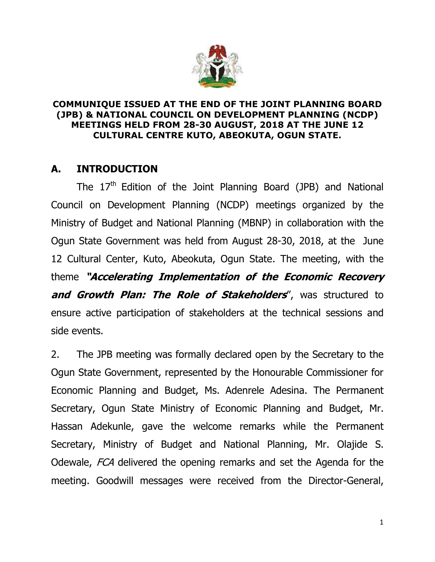

#### **COMMUNIQUE ISSUED AT THE END OF THE JOINT PLANNING BOARD (JPB) & NATIONAL COUNCIL ON DEVELOPMENT PLANNING (NCDP) MEETINGS HELD FROM 28-30 AUGUST, 2018 AT THE JUNE 12 CULTURAL CENTRE KUTO, ABEOKUTA, OGUN STATE.**

### **A. INTRODUCTION**

The 17<sup>th</sup> Edition of the Joint Planning Board (JPB) and National Council on Development Planning (NCDP) meetings organized by the Ministry of Budget and National Planning (MBNP) in collaboration with the Ogun State Government was held from August 28-30, 2018, at the June 12 Cultural Center, Kuto, Abeokuta, Ogun State. The meeting, with the theme **"Accelerating Implementation of the Economic Recovery and Growth Plan: The Role of Stakeholders**", was structured to ensure active participation of stakeholders at the technical sessions and side events.

2. The JPB meeting was formally declared open by the Secretary to the Ogun State Government, represented by the Honourable Commissioner for Economic Planning and Budget, Ms. Adenrele Adesina. The Permanent Secretary, Ogun State Ministry of Economic Planning and Budget, Mr. Hassan Adekunle, gave the welcome remarks while the Permanent Secretary, Ministry of Budget and National Planning, Mr. Olajide S. Odewale, FCA delivered the opening remarks and set the Agenda for the meeting. Goodwill messages were received from the Director-General,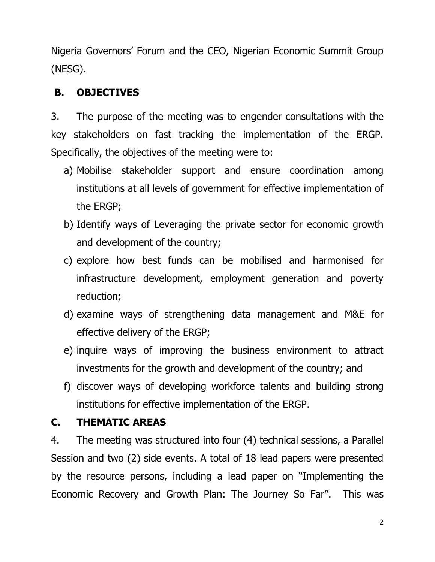Nigeria Governors' Forum and the CEO, Nigerian Economic Summit Group (NESG).

# **B. OBJECTIVES**

3. The purpose of the meeting was to engender consultations with the key stakeholders on fast tracking the implementation of the ERGP. Specifically, the objectives of the meeting were to:

- a) Mobilise stakeholder support and ensure coordination among institutions at all levels of government for effective implementation of the ERGP;
- b) Identify ways of Leveraging the private sector for economic growth and development of the country;
- c) explore how best funds can be mobilised and harmonised for infrastructure development, employment generation and poverty reduction;
- d) examine ways of strengthening data management and M&E for effective delivery of the ERGP;
- e) inquire ways of improving the business environment to attract investments for the growth and development of the country; and
- f) discover ways of developing workforce talents and building strong institutions for effective implementation of the ERGP.

# **C. THEMATIC AREAS**

4. The meeting was structured into four (4) technical sessions, a Parallel Session and two (2) side events. A total of 18 lead papers were presented by the resource persons, including a lead paper on "Implementing the Economic Recovery and Growth Plan: The Journey So Far". This was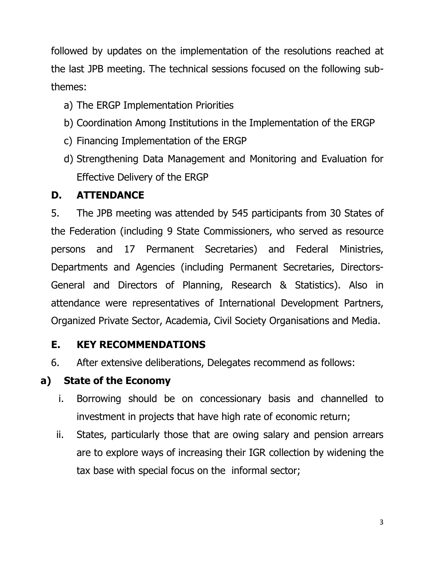followed by updates on the implementation of the resolutions reached at the last JPB meeting. The technical sessions focused on the following subthemes:

- a) The ERGP Implementation Priorities
- b) Coordination Among Institutions in the Implementation of the ERGP
- c) Financing Implementation of the ERGP
- d) Strengthening Data Management and Monitoring and Evaluation for Effective Delivery of the ERGP

#### **D. ATTENDANCE**

5. The JPB meeting was attended by 545 participants from 30 States of the Federation (including 9 State Commissioners, who served as resource persons and 17 Permanent Secretaries) and Federal Ministries, Departments and Agencies (including Permanent Secretaries, Directors-General and Directors of Planning, Research & Statistics). Also in attendance were representatives of International Development Partners, Organized Private Sector, Academia, Civil Society Organisations and Media.

#### **E. KEY RECOMMENDATIONS**

6. After extensive deliberations, Delegates recommend as follows:

#### **a) State of the Economy**

- i. Borrowing should be on concessionary basis and channelled to investment in projects that have high rate of economic return;
- ii. States, particularly those that are owing salary and pension arrears are to explore ways of increasing their IGR collection by widening the tax base with special focus on the informal sector;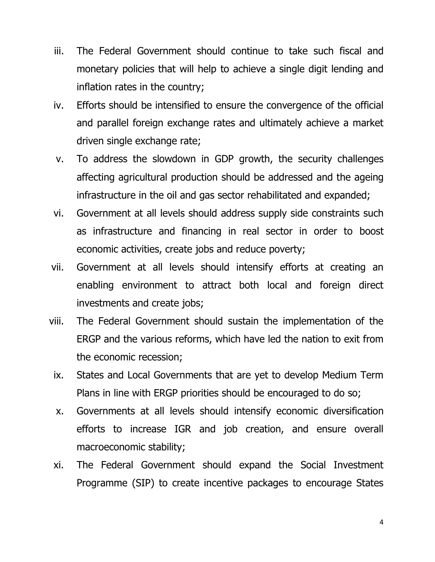- iii. The Federal Government should continue to take such fiscal and monetary policies that will help to achieve a single digit lending and inflation rates in the country;
- iv. Efforts should be intensified to ensure the convergence of the official and parallel foreign exchange rates and ultimately achieve a market driven single exchange rate;
- v. To address the slowdown in GDP growth, the security challenges affecting agricultural production should be addressed and the ageing infrastructure in the oil and gas sector rehabilitated and expanded;
- vi. Government at all levels should address supply side constraints such as infrastructure and financing in real sector in order to boost economic activities, create jobs and reduce poverty;
- vii. Government at all levels should intensify efforts at creating an enabling environment to attract both local and foreign direct investments and create jobs;
- viii. The Federal Government should sustain the implementation of the ERGP and the various reforms, which have led the nation to exit from the economic recession;
- ix. States and Local Governments that are yet to develop Medium Term Plans in line with ERGP priorities should be encouraged to do so;
- x. Governments at all levels should intensify economic diversification efforts to increase IGR and job creation, and ensure overall macroeconomic stability;
- xi. The Federal Government should expand the Social Investment Programme (SIP) to create incentive packages to encourage States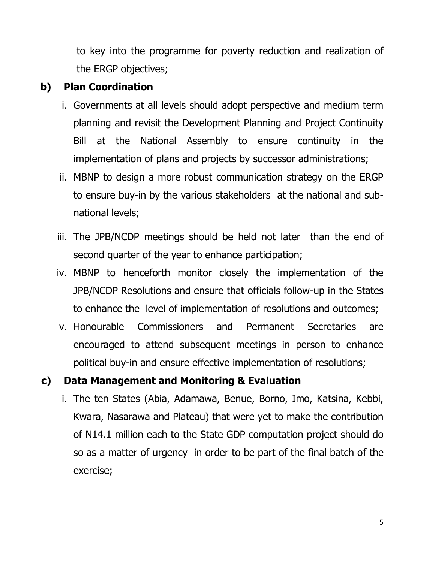to key into the programme for poverty reduction and realization of the ERGP objectives;

## **b) Plan Coordination**

- i. Governments at all levels should adopt perspective and medium term planning and revisit the Development Planning and Project Continuity Bill at the National Assembly to ensure continuity in the implementation of plans and projects by successor administrations;
- ii. MBNP to design a more robust communication strategy on the ERGP to ensure buy-in by the various stakeholders at the national and subnational levels;
- iii. The JPB/NCDP meetings should be held not later than the end of second quarter of the year to enhance participation;
- iv. MBNP to henceforth monitor closely the implementation of the JPB/NCDP Resolutions and ensure that officials follow-up in the States to enhance the level of implementation of resolutions and outcomes;
- v. Honourable Commissioners and Permanent Secretaries are encouraged to attend subsequent meetings in person to enhance political buy-in and ensure effective implementation of resolutions;

#### **c) Data Management and Monitoring & Evaluation**

i. The ten States (Abia, Adamawa, Benue, Borno, Imo, Katsina, Kebbi, Kwara, Nasarawa and Plateau) that were yet to make the contribution of N14.1 million each to the State GDP computation project should do so as a matter of urgency in order to be part of the final batch of the exercise;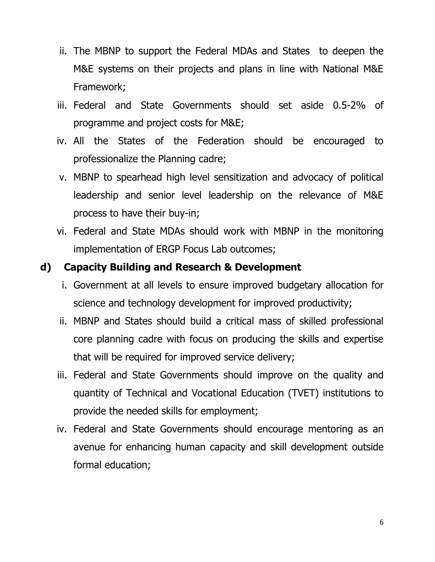- ii. The MBNP to support the Federal MDAs and States to deepen the M&E systems on their projects and plans in line with National M&E Framework;
- iii. Federal and State Governments should set aside 0.5-2% of programme and project costs for M&E;
- iv. All the States of the Federation should be encouraged to professionalize the Planning cadre;
- v. MBNP to spearhead high level sensitization and advocacy of political leadership and senior level leadership on the relevance of M&E process to have their buy-in;
- vi. Federal and State MDAs should work with MBNP in the monitoring implementation of ERGP Focus Lab outcomes;

# **d) Capacity Building and Research & Development**

- i. Government at all levels to ensure improved budgetary allocation for science and technology development for improved productivity;
- ii. MBNP and States should build a critical mass of skilled professional core planning cadre with focus on producing the skills and expertise that will be required for improved service delivery;
- iii. Federal and State Governments should improve on the quality and quantity of Technical and Vocational Education (TVET) institutions to provide the needed skills for employment;
- iv. Federal and State Governments should encourage mentoring as an avenue for enhancing human capacity and skill development outside formal education;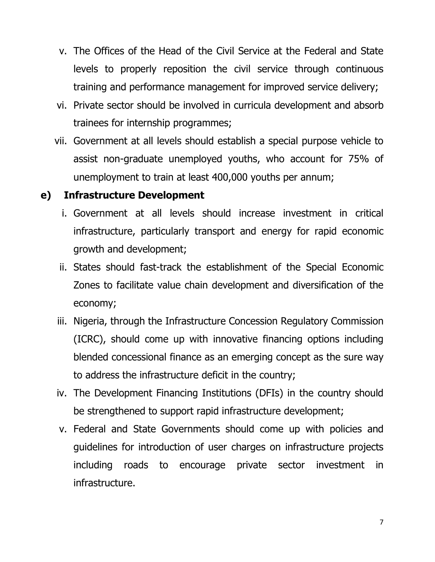- v. The Offices of the Head of the Civil Service at the Federal and State levels to properly reposition the civil service through continuous training and performance management for improved service delivery;
- vi. Private sector should be involved in curricula development and absorb trainees for internship programmes;
- vii. Government at all levels should establish a special purpose vehicle to assist non-graduate unemployed youths, who account for 75% of unemployment to train at least 400,000 youths per annum;

### **e) Infrastructure Development**

- i. Government at all levels should increase investment in critical infrastructure, particularly transport and energy for rapid economic growth and development;
- ii. States should fast-track the establishment of the Special Economic Zones to facilitate value chain development and diversification of the economy;
- iii. Nigeria, through the Infrastructure Concession Regulatory Commission (ICRC), should come up with innovative financing options including blended concessional finance as an emerging concept as the sure way to address the infrastructure deficit in the country;
- iv. The Development Financing Institutions (DFIs) in the country should be strengthened to support rapid infrastructure development;
- v. Federal and State Governments should come up with policies and guidelines for introduction of user charges on infrastructure projects including roads to encourage private sector investment in infrastructure.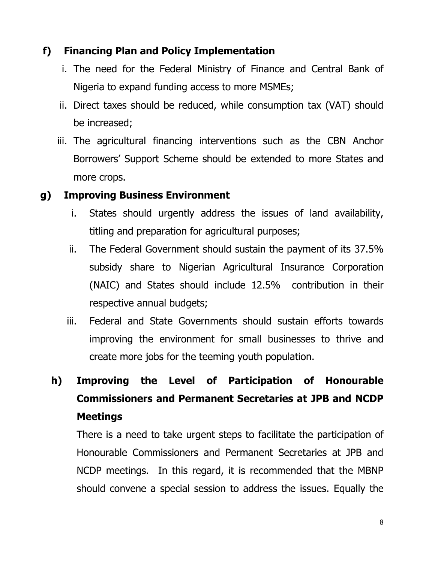# **f) Financing Plan and Policy Implementation**

- i. The need for the Federal Ministry of Finance and Central Bank of Nigeria to expand funding access to more MSMEs;
- ii. Direct taxes should be reduced, while consumption tax (VAT) should be increased;
- iii. The agricultural financing interventions such as the CBN Anchor Borrowers' Support Scheme should be extended to more States and more crops.

#### **g) Improving Business Environment**

- i. States should urgently address the issues of land availability, titling and preparation for agricultural purposes;
- ii. The Federal Government should sustain the payment of its 37.5% subsidy share to Nigerian Agricultural Insurance Corporation (NAIC) and States should include 12.5% contribution in their respective annual budgets;
- iii. Federal and State Governments should sustain efforts towards improving the environment for small businesses to thrive and create more jobs for the teeming youth population.

# **h) Improving the Level of Participation of Honourable Commissioners and Permanent Secretaries at JPB and NCDP Meetings**

There is a need to take urgent steps to facilitate the participation of Honourable Commissioners and Permanent Secretaries at JPB and NCDP meetings. In this regard, it is recommended that the MBNP should convene a special session to address the issues. Equally the